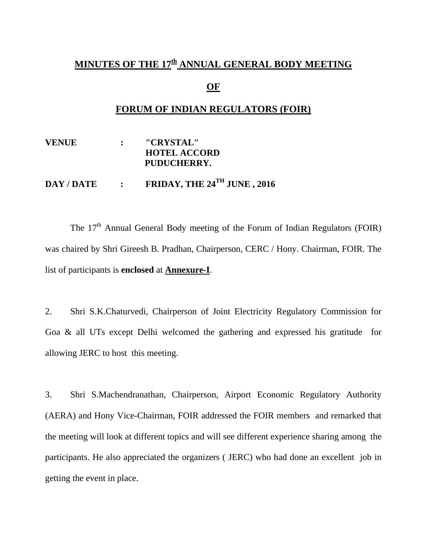## MINUTES OF THE 17<sup>th</sup> ANNUAL GENERAL BODY MEETING

### **OF**

### **FORUM OF INDIAN REGULATORS (FOIR)**

**VENUE : "CRYSTAL" HOTEL ACCORD PUDUCHERRY.** 

# **DAY / DATE : FRIDAY, THE 24TH JUNE , 2016**

The 17<sup>th</sup> Annual General Body meeting of the Forum of Indian Regulators (FOIR) was chaired by Shri Gireesh B. Pradhan, Chairperson, CERC / Hony. Chairman, FOIR. The list of participants is **enclosed** at **Annexure-I**.

2. Shri S.K.Chaturvedi, Chairperson of Joint Electricity Regulatory Commission for Goa & all UTs except Delhi welcomed the gathering and expressed his gratitude for allowing JERC to host this meeting.

3. Shri S.Machendranathan, Chairperson, Airport Economic Regulatory Authority (AERA) and Hony Vice-Chairman, FOIR addressed the FOIR members and remarked that the meeting will look at different topics and will see different experience sharing among the participants. He also appreciated the organizers ( JERC) who had done an excellent job in getting the event in place.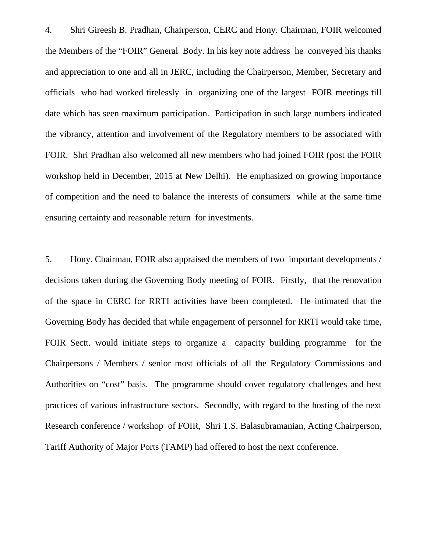4. Shri Gireesh B. Pradhan, Chairperson, CERC and Hony. Chairman, FOIR welcomed the Members of the "FOIR" General Body. In his key note address he conveyed his thanks and appreciation to one and all in JERC, including the Chairperson, Member, Secretary and officials who had worked tirelessly in organizing one of the largest FOIR meetings till date which has seen maximum participation. Participation in such large numbers indicated the vibrancy, attention and involvement of the Regulatory members to be associated with FOIR. Shri Pradhan also welcomed all new members who had joined FOIR (post the FOIR workshop held in December, 2015 at New Delhi). He emphasized on growing importance of competition and the need to balance the interests of consumers while at the same time ensuring certainty and reasonable return for investments.

5. Hony. Chairman, FOIR also appraised the members of two important developments / decisions taken during the Governing Body meeting of FOIR. Firstly, that the renovation of the space in CERC for RRTI activities have been completed. He intimated that the Governing Body has decided that while engagement of personnel for RRTI would take time, FOIR Sectt. would initiate steps to organize a capacity building programme for the Chairpersons / Members / senior most officials of all the Regulatory Commissions and Authorities on "cost" basis. The programme should cover regulatory challenges and best practices of various infrastructure sectors. Secondly, with regard to the hosting of the next Research conference / workshop of FOIR, Shri T.S. Balasubramanian, Acting Chairperson, Tariff Authority of Major Ports (TAMP) had offered to host the next conference.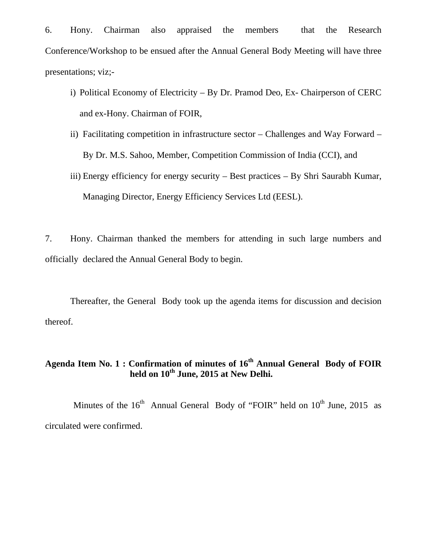6. Hony. Chairman also appraised the members that the Research Conference/Workshop to be ensued after the Annual General Body Meeting will have three presentations; viz;-

- i) Political Economy of Electricity By Dr. Pramod Deo, Ex- Chairperson of CERC and ex-Hony. Chairman of FOIR,
- ii) Facilitating competition in infrastructure sector Challenges and Way Forward By Dr. M.S. Sahoo, Member, Competition Commission of India (CCI), and
- iii) Energy efficiency for energy security Best practices By Shri Saurabh Kumar, Managing Director, Energy Efficiency Services Ltd (EESL).

7. Hony. Chairman thanked the members for attending in such large numbers and officially declared the Annual General Body to begin.

Thereafter, the General Body took up the agenda items for discussion and decision thereof.

## **Agenda Item No. 1 : Confirmation of minutes of 16th Annual General Body of FOIR held on 10th June, 2015 at New Delhi.**

Minutes of the  $16<sup>th</sup>$  Annual General Body of "FOIR" held on  $10<sup>th</sup>$  June, 2015 as circulated were confirmed.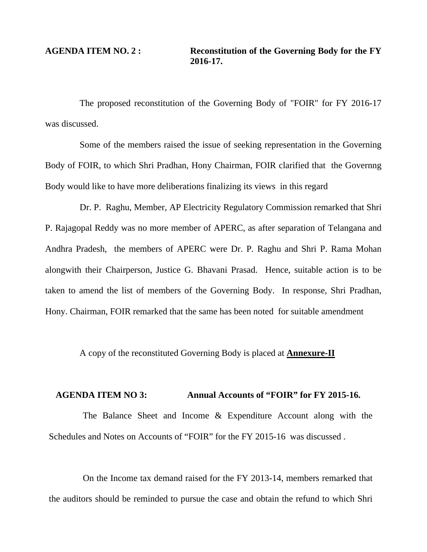The proposed reconstitution of the Governing Body of "FOIR" for FY 2016-17 was discussed.

Some of the members raised the issue of seeking representation in the Governing Body of FOIR, to which Shri Pradhan, Hony Chairman, FOIR clarified that the Governng Body would like to have more deliberations finalizing its views in this regard

Dr. P. Raghu, Member, AP Electricity Regulatory Commission remarked that Shri P. Rajagopal Reddy was no more member of APERC, as after separation of Telangana and Andhra Pradesh, the members of APERC were Dr. P. Raghu and Shri P. Rama Mohan alongwith their Chairperson, Justice G. Bhavani Prasad. Hence, suitable action is to be taken to amend the list of members of the Governing Body. In response, Shri Pradhan, Hony. Chairman, FOIR remarked that the same has been noted for suitable amendment

A copy of the reconstituted Governing Body is placed at **Annexure-II**

### **AGENDA ITEM NO 3: Annual Accounts of "FOIR" for FY 2015-16.**

The Balance Sheet and Income & Expenditure Account along with the Schedules and Notes on Accounts of "FOIR" for the FY 2015-16 was discussed .

On the Income tax demand raised for the FY 2013-14, members remarked that the auditors should be reminded to pursue the case and obtain the refund to which Shri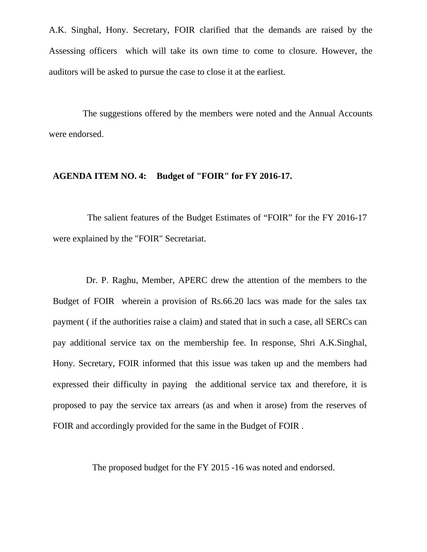A.K. Singhal, Hony. Secretary, FOIR clarified that the demands are raised by the Assessing officers which will take its own time to come to closure. However, the auditors will be asked to pursue the case to close it at the earliest.

The suggestions offered by the members were noted and the Annual Accounts were endorsed.

### **AGENDA ITEM NO. 4: Budget of "FOIR" for FY 2016-17.**

The salient features of the Budget Estimates of "FOIR" for the FY 2016-17 were explained by the "FOIR" Secretariat.

Dr. P. Raghu, Member, APERC drew the attention of the members to the Budget of FOIR wherein a provision of Rs.66.20 lacs was made for the sales tax payment ( if the authorities raise a claim) and stated that in such a case, all SERCs can pay additional service tax on the membership fee. In response, Shri A.K.Singhal, Hony. Secretary, FOIR informed that this issue was taken up and the members had expressed their difficulty in paying the additional service tax and therefore, it is proposed to pay the service tax arrears (as and when it arose) from the reserves of FOIR and accordingly provided for the same in the Budget of FOIR .

The proposed budget for the FY 2015 -16 was noted and endorsed.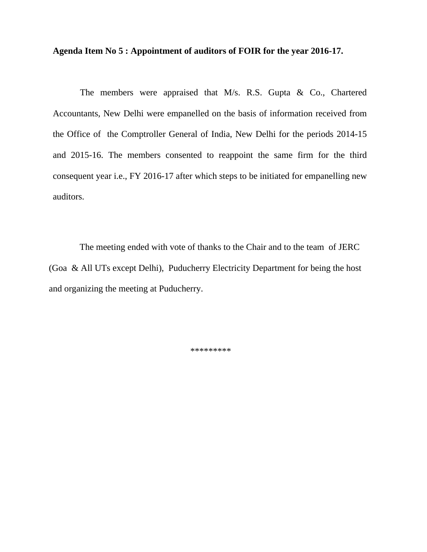**Agenda Item No 5 : Appointment of auditors of FOIR for the year 2016-17.** 

 The members were appraised that M/s. R.S. Gupta & Co., Chartered Accountants, New Delhi were empanelled on the basis of information received from the Office of the Comptroller General of India, New Delhi for the periods 2014-15 and 2015-16. The members consented to reappoint the same firm for the third consequent year i.e., FY 2016-17 after which steps to be initiated for empanelling new auditors.

The meeting ended with vote of thanks to the Chair and to the team of JERC (Goa & All UTs except Delhi), Puducherry Electricity Department for being the host and organizing the meeting at Puducherry.

\*\*\*\*\*\*\*\*\*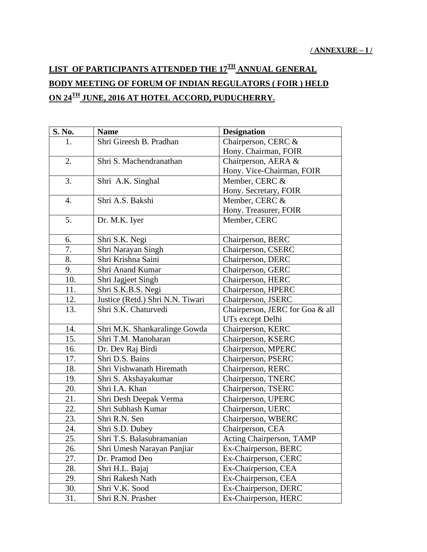# **LIST OF PARTICIPANTS ATTENDED THE 17TH ANNUAL GENERAL BODY MEETING OF FORUM OF INDIAN REGULATORS ( FOIR ) HELD ON 24TH JUNE, 2016 AT HOTEL ACCORD, PUDUCHERRY.**

| S. No.           | <b>Name</b>                      | <b>Designation</b>              |  |
|------------------|----------------------------------|---------------------------------|--|
| 1.               | Shri Gireesh B. Pradhan          | Chairperson, CERC &             |  |
|                  |                                  | Hony. Chairman, FOIR            |  |
| 2.               | Shri S. Machendranathan          | Chairperson, AERA &             |  |
|                  |                                  | Hony. Vice-Chairman, FOIR       |  |
| 3.               | Shri A.K. Singhal                | Member, CERC &                  |  |
|                  |                                  | Hony. Secretary, FOIR           |  |
| $\overline{4}$ . | Shri A.S. Bakshi                 | Member, CERC &                  |  |
|                  |                                  | Hony. Treasurer, FOIR           |  |
| 5.               | Dr. M.K. Iyer                    | Member, CERC                    |  |
| 6.               | Shri S.K. Negi                   | Chairperson, BERC               |  |
| 7.               | Shri Narayan Singh               | Chairperson, CSERC              |  |
| 8.               | Shri Krishna Saini               | Chairperson, DERC               |  |
| 9.               | Shri Anand Kumar                 | Chairperson, GERC               |  |
| 10.              | Shri Jagjeet Singh               | Chairperson, HERC               |  |
| 11.              | Shri S.K.B.S. Negi               | Chairperson, HPERC              |  |
| 12.              | Justice (Retd.) Shri N.N. Tiwari | Chairperson, JSERC              |  |
| 13.              | Shri S.K. Chaturvedi             | Chairperson, JERC for Goa & all |  |
|                  |                                  | UTs except Delhi                |  |
| 14.              | Shri M.K. Shankaralinge Gowda    | Chairperson, KERC               |  |
| 15.              | Shri T.M. Manoharan              | Chairperson, KSERC              |  |
| 16.              | Dr. Dev Raj Birdi                | Chairperson, MPERC              |  |
| 17.              | Shri D.S. Bains                  | Chairperson, PSERC              |  |
| 18.              | Shri Vishwanath Hiremath         | Chairperson, RERC               |  |
| 19.              | Shri S. Akshayakumar             | Chairperson, TNERC              |  |
| 20.              | Shri I.A. Khan                   | Chairperson, TSERC              |  |
| 21.              | Shri Desh Deepak Verma           | Chairperson, UPERC              |  |
| 22.              | Shri Subhash Kumar               | Chairperson, UERC               |  |
| 23.              | Shri R.N. Sen                    | Chairperson, WBERC              |  |
| 24.              | Shri S.D. Dubey                  | Chairperson, CEA                |  |
| 25.              | Shri T.S. Balasubramanian        | Acting Chairperson, TAMP        |  |
| 26.              | Shri Umesh Narayan Panjiar       | Ex-Chairperson, BERC            |  |
| 27.              | Dr. Pramod Deo                   | Ex-Chairperson, CERC            |  |
| 28.              | Shri H.L. Bajaj                  | Ex-Chairperson, CEA             |  |
| 29.              | Shri Rakesh Nath                 | Ex-Chairperson, CEA             |  |
| 30.              | Shri V.K. Sood                   | Ex-Chairperson, DERC            |  |
| 31.              | Shri R.N. Prasher                | Ex-Chairperson, HERC            |  |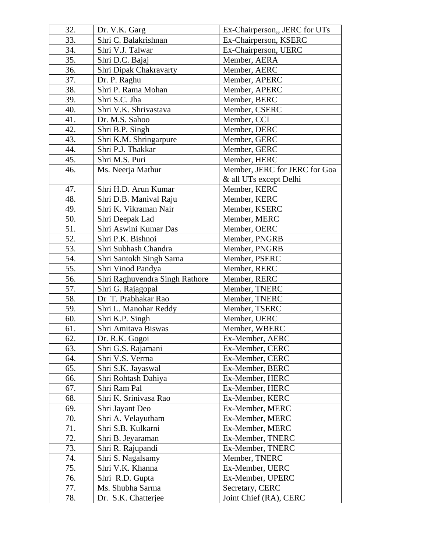| 32. | Dr. V.K. Garg                  | Ex-Chairperson,, JERC for UTs |  |
|-----|--------------------------------|-------------------------------|--|
| 33. | Shri C. Balakrishnan           | Ex-Chairperson, KSERC         |  |
| 34. | Shri V.J. Talwar               | Ex-Chairperson, UERC          |  |
| 35. | Shri D.C. Bajaj                | Member, AERA                  |  |
| 36. | Shri Dipak Chakravarty         | Member, AERC                  |  |
| 37. | Dr. P. Raghu                   | Member, APERC                 |  |
| 38. | Shri P. Rama Mohan             | Member, APERC                 |  |
| 39. | Shri S.C. Jha                  | Member, BERC                  |  |
| 40. | Shri V.K. Shrivastava          | Member, CSERC                 |  |
| 41. | Dr. M.S. Sahoo                 | Member, CCI                   |  |
| 42. | Shri B.P. Singh                | Member, DERC                  |  |
| 43. | Shri K.M. Shringarpure         | Member, GERC                  |  |
| 44. | Shri P.J. Thakkar              | Member, GERC                  |  |
| 45. | Shri M.S. Puri                 | Member, HERC                  |  |
| 46. | Ms. Neerja Mathur              | Member, JERC for JERC for Goa |  |
|     |                                | & all UTs except Delhi        |  |
| 47. | Shri H.D. Arun Kumar           | Member, KERC                  |  |
| 48. | Shri D.B. Manival Raju         | Member, KERC                  |  |
| 49. | Shri K. Vikraman Nair          | Member, KSERC                 |  |
| 50. | Shri Deepak Lad                | Member, MERC                  |  |
| 51. | Shri Aswini Kumar Das          | Member, OERC                  |  |
| 52. | Shri P.K. Bishnoi              | Member, PNGRB                 |  |
| 53. | Shri Subhash Chandra           | Member, PNGRB                 |  |
| 54. | Shri Santokh Singh Sarna       | Member, PSERC                 |  |
| 55. | Shri Vinod Pandya              | Member, RERC                  |  |
| 56. | Shri Raghuvendra Singh Rathore | Member, RERC                  |  |
| 57. | Shri G. Rajagopal              | Member, TNERC                 |  |
| 58. | Dr T. Prabhakar Rao            | Member, TNERC                 |  |
| 59. | Shri L. Manohar Reddy          | Member, TSERC                 |  |
| 60. | Shri K.P. Singh                | Member, UERC                  |  |
| 61. | Shri Amitava Biswas            | Member, WBERC                 |  |
| 62. | Dr. R.K. Gogoi                 | Ex-Member, AERC               |  |
| 63. | Shri G.S. Rajamani             | Ex-Member, CERC               |  |
| 64. | Shri V.S. Verma                | Ex-Member, CERC               |  |
| 65. | Shri S.K. Jayaswal             | Ex-Member, BERC               |  |
| 66. | Shri Rohtash Dahiya            | Ex-Member, HERC               |  |
| 67. | Shri Ram Pal                   | Ex-Member, HERC               |  |
| 68. | Shri K. Srinivasa Rao          | Ex-Member, KERC               |  |
| 69. | Shri Jayant Deo                | Ex-Member, MERC               |  |
| 70. | Shri A. Velayutham             | Ex-Member, MERC               |  |
| 71. | Shri S.B. Kulkarni             | Ex-Member, MERC               |  |
| 72. | Shri B. Jeyaraman              | Ex-Member, TNERC              |  |
| 73. | Shri R. Rajupandi              | Ex-Member, TNERC              |  |
| 74. | Shri S. Nagalsamy              | Member, TNERC                 |  |
| 75. | Shri V.K. Khanna               | Ex-Member, UERC               |  |
| 76. | Shri R.D. Gupta                | Ex-Member, UPERC              |  |
| 77. | Ms. Shubha Sarma               | Secretary, CERC               |  |
| 78. | Dr. S.K. Chatterjee            | Joint Chief (RA), CERC        |  |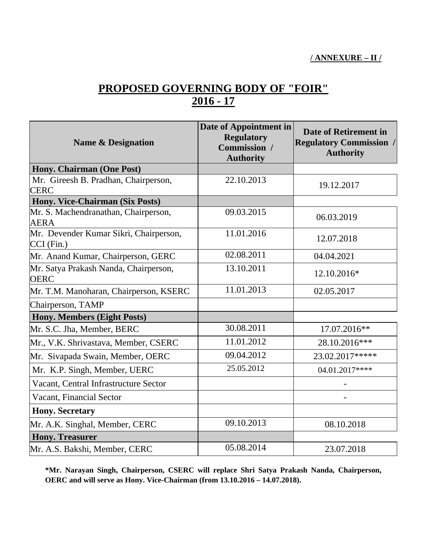# **PROPOSED GOVERNING BODY OF "FOIR" 2016 - 17**

| <b>Name &amp; Designation</b>                          | Date of Appointment in<br><b>Regulatory</b><br>Commission /<br><b>Authority</b> | Date of Retirement in<br><b>Regulatory Commission /</b><br><b>Authority</b> |
|--------------------------------------------------------|---------------------------------------------------------------------------------|-----------------------------------------------------------------------------|
| Hony. Chairman (One Post)                              |                                                                                 |                                                                             |
| Mr. Gireesh B. Pradhan, Chairperson,<br><b>CERC</b>    | 22.10.2013                                                                      | 19.12.2017                                                                  |
| Hony. Vice-Chairman (Six Posts)                        |                                                                                 |                                                                             |
| Mr. S. Machendranathan, Chairperson,<br><b>AERA</b>    | 09.03.2015                                                                      | 06.03.2019                                                                  |
| Mr. Devender Kumar Sikri, Chairperson,<br>$CCI$ (Fin.) | 11.01.2016                                                                      | 12.07.2018                                                                  |
| Mr. Anand Kumar, Chairperson, GERC                     | 02.08.2011                                                                      | 04.04.2021                                                                  |
| Mr. Satya Prakash Nanda, Chairperson,<br><b>OERC</b>   | 13.10.2011                                                                      | 12.10.2016*                                                                 |
| Mr. T.M. Manoharan, Chairperson, KSERC                 | 11.01.2013                                                                      | 02.05.2017                                                                  |
| Chairperson, TAMP                                      |                                                                                 |                                                                             |
| <b>Hony. Members (Eight Posts)</b>                     |                                                                                 |                                                                             |
| Mr. S.C. Jha, Member, BERC                             | 30.08.2011                                                                      | 17.07.2016**                                                                |
| Mr., V.K. Shrivastava, Member, CSERC                   | 11.01.2012                                                                      | 28.10.2016***                                                               |
| Mr. Sivapada Swain, Member, OERC                       | 09.04.2012                                                                      | 23.02.2017*****                                                             |
| Mr. K.P. Singh, Member, UERC                           | 25.05.2012                                                                      | 04.01.2017****                                                              |
| Vacant, Central Infrastructure Sector                  |                                                                                 |                                                                             |
| Vacant, Financial Sector                               |                                                                                 |                                                                             |
| <b>Hony. Secretary</b>                                 |                                                                                 |                                                                             |
| Mr. A.K. Singhal, Member, CERC                         | 09.10.2013                                                                      | 08.10.2018                                                                  |
| <b>Hony. Treasurer</b>                                 |                                                                                 |                                                                             |
| Mr. A.S. Bakshi, Member, CERC                          | 05.08.2014                                                                      | 23.07.2018                                                                  |

**\*Mr. Narayan Singh, Chairperson, CSERC will replace Shri Satya Prakash Nanda, Chairperson, OERC and will serve as Hony. Vice-Chairman (from 13.10.2016 – 14.07.2018).**